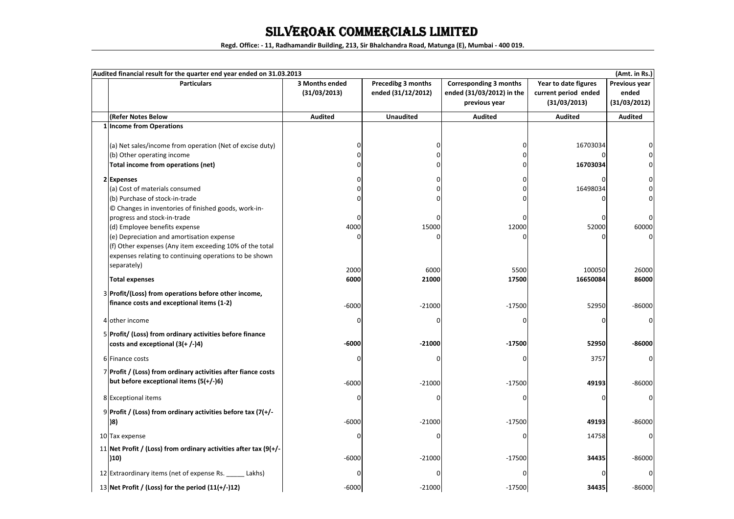### SILVEROAK COMMERCIALS LIMITED

**Regd. Office: - 11, Radhamandir Building, 213, Sir Bhalchandra Road, Matunga (E), Mumbai - 400 019.**

| Audited financial result for the quarter end year ended on 31.03.2013<br>(Amt. in Rs.) |                                                                                                                                                                |                                |                                          |                                                                             |                                                              |                                        |
|----------------------------------------------------------------------------------------|----------------------------------------------------------------------------------------------------------------------------------------------------------------|--------------------------------|------------------------------------------|-----------------------------------------------------------------------------|--------------------------------------------------------------|----------------------------------------|
|                                                                                        | <b>Particulars</b>                                                                                                                                             | 3 Months ended<br>(31/03/2013) | Precedibg 3 months<br>ended (31/12/2012) | <b>Corresponding 3 months</b><br>ended (31/03/2012) in the<br>previous year | Year to date figures<br>current period ended<br>(31/03/2013) | Previous year<br>ended<br>(31/03/2012) |
|                                                                                        | (Refer Notes Below                                                                                                                                             | <b>Audited</b>                 | <b>Unaudited</b>                         | <b>Audited</b>                                                              | <b>Audited</b>                                               | <b>Audited</b>                         |
|                                                                                        | 1 Income from Operations                                                                                                                                       |                                |                                          |                                                                             |                                                              |                                        |
|                                                                                        | (a) Net sales/income from operation (Net of excise duty)<br>(b) Other operating income<br>Total income from operations (net)                                   | ŋ                              | n<br>$\Omega$                            | U<br>0                                                                      | 16703034<br>16703034                                         |                                        |
|                                                                                        | 2 Expenses                                                                                                                                                     |                                |                                          | O                                                                           |                                                              |                                        |
|                                                                                        | (a) Cost of materials consumed                                                                                                                                 |                                |                                          |                                                                             | 16498034                                                     |                                        |
|                                                                                        | (b) Purchase of stock-in-trade                                                                                                                                 |                                | $\Omega$                                 | ŋ                                                                           |                                                              |                                        |
|                                                                                        | © Changes in inventories of finished goods, work-in-<br>progress and stock-in-trade<br>(d) Employee benefits expense                                           | U<br>4000                      | 15000                                    | 12000                                                                       | C<br>52000                                                   | 60000                                  |
|                                                                                        | (e) Depreciation and amortisation expense<br>(f) Other expenses (Any item exceeding 10% of the total<br>expenses relating to continuing operations to be shown | O                              |                                          | O                                                                           |                                                              |                                        |
|                                                                                        | separately)                                                                                                                                                    | 2000                           | 6000                                     | 5500                                                                        | 100050                                                       | 26000                                  |
|                                                                                        | <b>Total expenses</b>                                                                                                                                          | 6000                           | 21000                                    | 17500                                                                       | 16650084                                                     | 86000                                  |
|                                                                                        | 3 Profit/(Loss) from operations before other income,<br>finance costs and exceptional items (1-2)                                                              | $-6000$                        | $-21000$                                 | $-17500$                                                                    | 52950                                                        | $-86000$                               |
|                                                                                        | 4 other income                                                                                                                                                 | O                              |                                          | O                                                                           | $\Omega$                                                     | 0                                      |
|                                                                                        | 5 Profit/ (Loss) from ordinary activities before finance<br>costs and exceptional $(3(+/-)4)$                                                                  | $-6000$                        | $-21000$                                 | $-17500$                                                                    | 52950                                                        | -86000                                 |
|                                                                                        | 6 Finance costs                                                                                                                                                | O                              |                                          | U                                                                           | 3757                                                         |                                        |
|                                                                                        | 7 Profit / (Loss) from ordinary activities after fiance costs<br>but before exceptional items $(5(+/-)6)$                                                      | $-6000$                        | $-21000$                                 | $-17500$                                                                    | 49193                                                        | $-86000$                               |
|                                                                                        | 8 Exceptional items                                                                                                                                            | O                              |                                          | O                                                                           | 0                                                            | 0                                      |
|                                                                                        | 9 Profit / (Loss) from ordinary activities before tax (7(+/-<br>)8)                                                                                            | $-6000$                        | $-21000$                                 | $-17500$                                                                    | 49193                                                        | $-86000$                               |
|                                                                                        | 10 Tax expense                                                                                                                                                 | 0                              |                                          | O                                                                           | 14758                                                        | 0                                      |
|                                                                                        | 11 Net Profit / (Loss) from ordinary activities after tax (9(+/-<br>(10)                                                                                       | $-6000$                        | $-21000$                                 | $-17500$                                                                    | 34435                                                        | $-86000$                               |
|                                                                                        | 12 Extraordinary items (net of expense Rs. _____ Lakhs)                                                                                                        | U                              |                                          |                                                                             |                                                              |                                        |
|                                                                                        | 13 Net Profit / (Loss) for the period $(11(+/-)12)$                                                                                                            | $-6000$                        | $-21000$                                 | $-17500$                                                                    | 34435                                                        | $-86000$                               |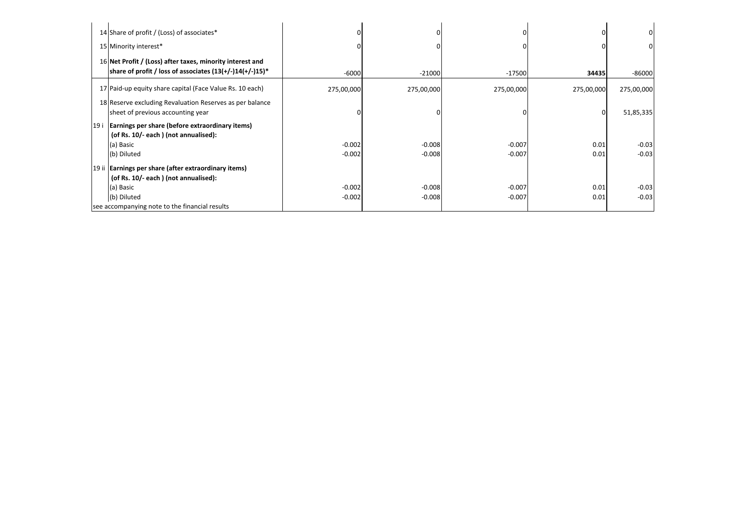|      | 14 Share of profit / (Loss) of associates*                                                                               |            |            |            |            | 0          |
|------|--------------------------------------------------------------------------------------------------------------------------|------------|------------|------------|------------|------------|
|      | 15 Minority interest*                                                                                                    |            |            |            |            | 0          |
|      | 16 Net Profit / (Loss) after taxes, minority interest and<br>share of profit / loss of associates $(13(+/-)14(+/-)15)^*$ | $-6000$    | $-21000$   | $-17500$   | 34435      | $-86000$   |
|      | 17 Paid-up equity share capital (Face Value Rs. 10 each)                                                                 | 275,00,000 | 275,00,000 | 275,00,000 | 275,00,000 | 275,00,000 |
|      | 18 Reserve excluding Revaluation Reserves as per balance<br>sheet of previous accounting year                            |            |            |            |            | 51,85,335  |
| 19 i | Earnings per share (before extraordinary items)<br>(of Rs. 10/- each) (not annualised):                                  |            |            |            |            |            |
|      | (a) Basic                                                                                                                | $-0.002$   | $-0.008$   | $-0.007$   | 0.01       | $-0.03$    |
|      | (b) Diluted                                                                                                              | $-0.002$   | $-0.008$   | $-0.007$   | 0.01       | $-0.03$    |
|      | 19 ii Earnings per share (after extraordinary items)                                                                     |            |            |            |            |            |
|      | (of Rs. 10/- each) (not annualised):                                                                                     |            |            |            |            |            |
|      | (a) Basic                                                                                                                | $-0.002$   | $-0.008$   | $-0.007$   | 0.01       | $-0.03$    |
|      | (b) Diluted                                                                                                              | $-0.002$   | $-0.008$   | $-0.007$   | 0.01       | $-0.03$    |
|      | see accompanying note to the financial results                                                                           |            |            |            |            |            |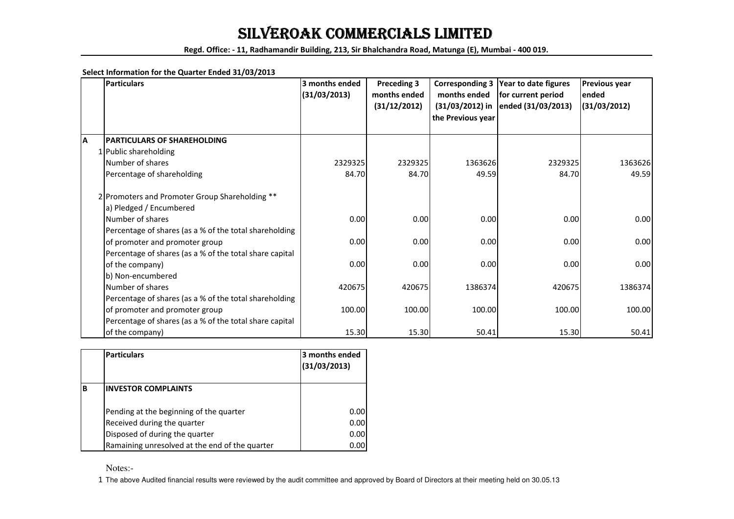## SILVEROAK COMMERCIALS LIMITED

**Regd. Office: - 11, Radhamandir Building, 213, Sir Bhalchandra Road, Matunga (E), Mumbai - 400 019.**

#### **Select Information for the Quarter Ended 31/03/2013**

|   | <b>Particulars</b>                                      | 3 months ended | <b>Preceding 3</b> | <b>Corresponding 3</b> | Year to date figures | Previous year |
|---|---------------------------------------------------------|----------------|--------------------|------------------------|----------------------|---------------|
|   |                                                         | (31/03/2013)   | months ended       | months ended           | for current period   | ended         |
|   |                                                         |                | (31/12/2012)       | $(31/03/2012)$ in      | ended (31/03/2013)   | (31/03/2012)  |
|   |                                                         |                |                    | the Previous year      |                      |               |
|   |                                                         |                |                    |                        |                      |               |
| A | <b>PARTICULARS OF SHAREHOLDING</b>                      |                |                    |                        |                      |               |
|   | 1 Public shareholding                                   |                |                    |                        |                      |               |
|   | Number of shares                                        | 2329325        | 2329325            | 1363626                | 2329325              | 1363626       |
|   | Percentage of shareholding                              | 84.70          | 84.70              | 49.59                  | 84.70                | 49.59         |
|   | 2 Promoters and Promoter Group Shareholding **          |                |                    |                        |                      |               |
|   | a) Pledged / Encumbered                                 |                |                    |                        |                      |               |
|   | Number of shares                                        | 0.00           | 0.00               | 0.00                   | 0.00                 | 0.00          |
|   | Percentage of shares (as a % of the total shareholding  |                |                    |                        |                      |               |
|   | of promoter and promoter group                          | 0.00           | 0.00               | 0.00                   | 0.00                 | 0.00          |
|   | Percentage of shares (as a % of the total share capital |                |                    |                        |                      |               |
|   | of the company)                                         | 0.00           | 0.00               | 0.00                   | 0.00                 | 0.00          |
|   | b) Non-encumbered                                       |                |                    |                        |                      |               |
|   | Number of shares                                        | 420675         | 420675             | 1386374                | 420675               | 1386374       |
|   | Percentage of shares (as a % of the total shareholding  |                |                    |                        |                      |               |
|   | of promoter and promoter group                          | 100.00         | 100.00             | 100.00                 | 100.00               | 100.00        |
|   | Percentage of shares (as a % of the total share capital |                |                    |                        |                      |               |
|   | of the company)                                         | 15.30          | 15.30              | 50.41                  | 15.30                | 50.41         |

|   | <b>Particulars</b>                             | 3 months ended<br>(31/03/2013) |
|---|------------------------------------------------|--------------------------------|
| B | <b>INVESTOR COMPLAINTS</b>                     |                                |
|   | Pending at the beginning of the quarter        | 0.00                           |
|   | Received during the quarter                    | 0.00                           |
|   | Disposed of during the quarter                 | 0.00                           |
|   | Ramaining unresolved at the end of the quarter | 0.00                           |

Notes:-

1 The above Audited financial results were reviewed by the audit committee and approved by Board of Directors at their meeting held on 30.05.13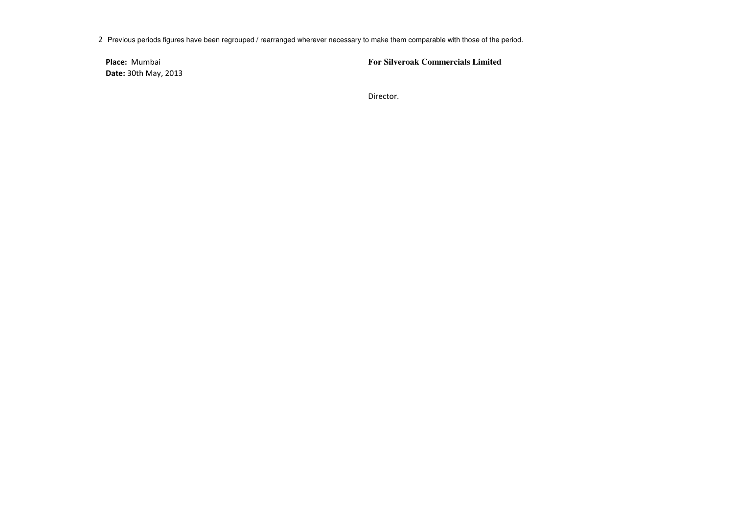2 Previous periods figures have been regrouped / rearranged wherever necessary to make them comparable with those of the period.

**Place:** Mumbai**Date:** 30th May, 2013 **For Silveroak Commercials Limited**

Director.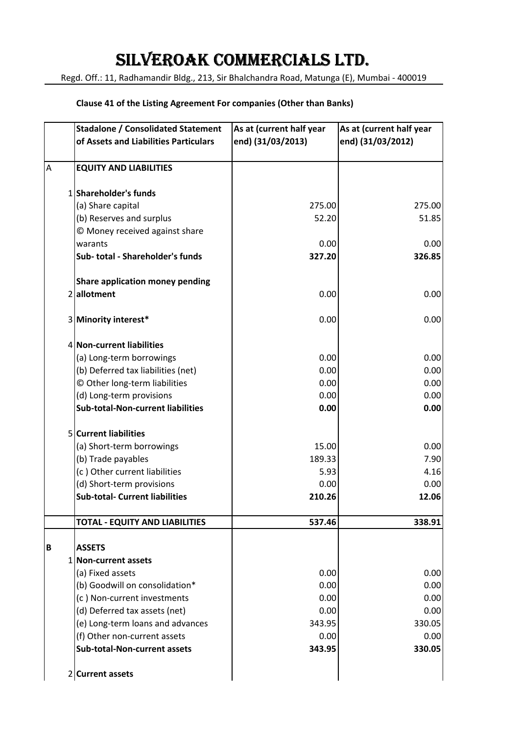# SILVEROAK COMMERCIALS LTD.

Regd. Off.: 11, Radhamandir Bldg., 213, Sir Bhalchandra Road, Matunga (E), Mumbai - 400019

#### **Clause 41 of the Listing Agreement For companies (Other than Banks)**

|   | <b>Stadalone / Consolidated Statement</b><br>of Assets and Liabilities Particulars | As at (current half year<br>end) (31/03/2013) | As at (current half year<br>end) (31/03/2012) |
|---|------------------------------------------------------------------------------------|-----------------------------------------------|-----------------------------------------------|
|   |                                                                                    |                                               |                                               |
| A | <b>EQUITY AND LIABILITIES</b>                                                      |                                               |                                               |
|   | 1 Shareholder's funds                                                              |                                               |                                               |
|   | (a) Share capital                                                                  | 275.00                                        | 275.00                                        |
|   | (b) Reserves and surplus                                                           | 52.20                                         | 51.85                                         |
|   | © Money received against share                                                     |                                               |                                               |
|   | warants                                                                            | 0.00                                          | 0.00                                          |
|   | Sub-total - Shareholder's funds                                                    | 327.20                                        | 326.85                                        |
|   | <b>Share application money pending</b>                                             |                                               |                                               |
|   | 2allotment                                                                         | 0.00                                          | 0.00                                          |
|   | 3 Minority interest*                                                               | 0.00                                          | 0.00                                          |
|   | 4 Non-current liabilities                                                          |                                               |                                               |
|   | (a) Long-term borrowings                                                           | 0.00                                          | 0.00                                          |
|   | (b) Deferred tax liabilities (net)                                                 | 0.00                                          | 0.00                                          |
|   | © Other long-term liabilities                                                      | 0.00                                          | 0.00                                          |
|   | (d) Long-term provisions                                                           | 0.00                                          | 0.00                                          |
|   | <b>Sub-total-Non-current liabilities</b>                                           | 0.00                                          | 0.00                                          |
|   | <b>5</b> Current liabilities                                                       |                                               |                                               |
|   | (a) Short-term borrowings                                                          | 15.00                                         | 0.00                                          |
|   | (b) Trade payables                                                                 | 189.33                                        | 7.90                                          |
|   | (c) Other current liabilities                                                      | 5.93                                          | 4.16                                          |
|   | (d) Short-term provisions                                                          | 0.00                                          | 0.00                                          |
|   | <b>Sub-total- Current liabilities</b>                                              | 210.26                                        | 12.06                                         |
|   | <b>TOTAL - EQUITY AND LIABILITIES</b>                                              | 537.46                                        | 338.91                                        |
| B | <b>ASSETS</b>                                                                      |                                               |                                               |
|   | 1 Non-current assets                                                               |                                               |                                               |
|   | (a) Fixed assets                                                                   | 0.00                                          | 0.00                                          |
|   | (b) Goodwill on consolidation*                                                     | 0.00                                          | 0.00                                          |
|   | (c) Non-current investments                                                        | 0.00                                          | 0.00                                          |
|   | (d) Deferred tax assets (net)                                                      | 0.00                                          | 0.00                                          |
|   | (e) Long-term loans and advances                                                   | 343.95                                        | 330.05                                        |
|   | (f) Other non-current assets                                                       | 0.00                                          | 0.00                                          |
|   | <b>Sub-total-Non-current assets</b>                                                | 343.95                                        | 330.05                                        |
|   | 2 Current assets                                                                   |                                               |                                               |